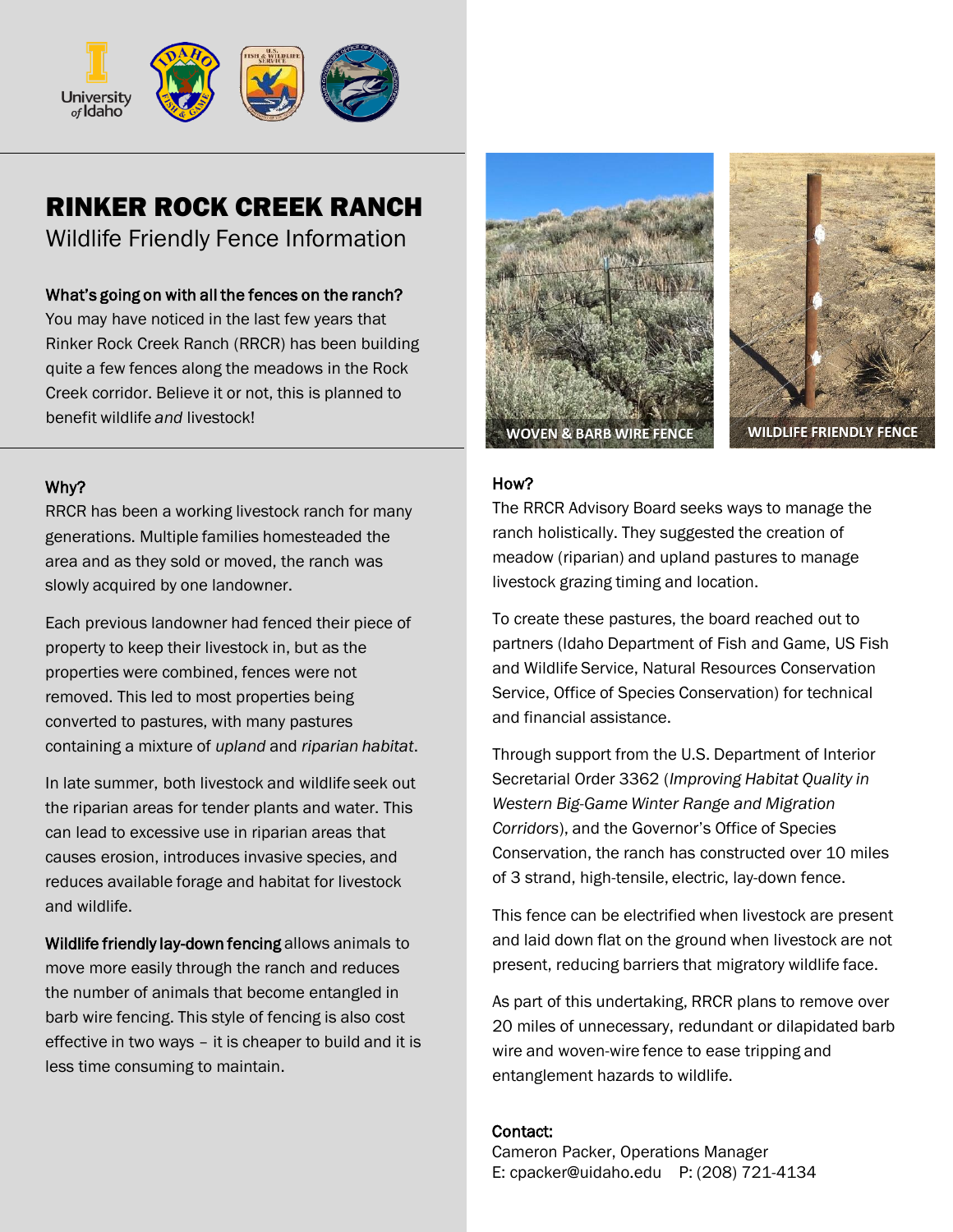

# RINKER ROCK CREEK RANCH

Wildlife Friendly Fence Information

## What's going on with all the fences on the ranch?

You may have noticed in the last few years that Rinker Rock Creek Ranch (RRCR) has been building quite a few fences along the meadows in the Rock Creek corridor. Believe it or not, this is planned to benefit wildlife *and* livestock!

## Why?

RRCR has been a working livestock ranch for many generations. Multiple families homesteaded the area and as they sold or moved, the ranch was slowly acquired by one landowner.

Each previous landowner had fenced their piece of property to keep their livestock in, but as the properties were combined, fences were not removed. This led to most properties being converted to pastures, with many pastures containing a mixture of *upland* and *riparian habitat*.

In late summer, both livestock and wildlife seek out the riparian areas for tender plants and water. This can lead to excessive use in riparian areas that causes erosion, introduces invasive species, and reduces available forage and habitat for livestock and wildlife.

Wildlife friendly lay-down fencing allows animals to move more easily through the ranch and reduces the number of animals that become entangled in barb wire fencing. This style of fencing is also cost effective in two ways – it is cheaper to build and it is less time consuming to maintain.



## How?

The RRCR Advisory Board seeks ways to manage the ranch holistically. They suggested the creation of meadow (riparian) and upland pastures to manage livestock grazing timing and location.

To create these pastures, the board reached out to partners (Idaho Department of Fish and Game, US Fish and Wildlife Service, Natural Resources Conservation Service, Office of Species Conservation) for technical and financial assistance.

Through support from the U.S. Department of Interior Secretarial Order 3362 (*Improving Habitat Quality in Western Big-Game Winter Range and Migration Corridors*), and the Governor's Office of Species Conservation, the ranch has constructed over 10 miles of 3 strand, high-tensile, electric, lay-down fence.

This fence can be electrified when livestock are present and laid down flat on the ground when livestock are not present, reducing barriers that migratory wildlife face.

As part of this undertaking, RRCR plans to remove over 20 miles of unnecessary, redundant or dilapidated barb wire and woven-wire fence to ease tripping and entanglement hazards to wildlife.

### Contact:

Cameron Packer, Operations Manager E: cpacker@uidaho.edu P: (208) 721-4134